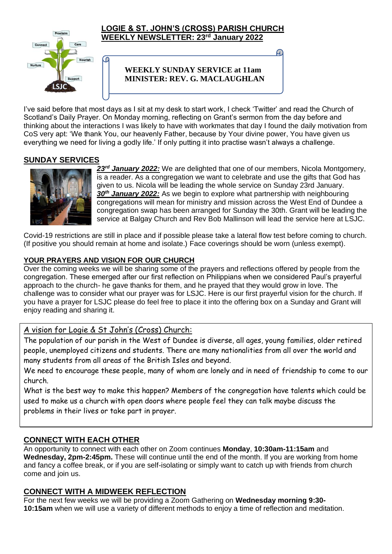

#### **LOGIE & ST. JOHN'S (CROSS) PARISH CHURCH WEEKLY NEWSLETTER: 23rd January 2022**

### **WEEKLY SUNDAY SERVICE at 11am MINISTER: REV. G. MACLAUGHLAN**

I've said before that most days as I sit at my desk to start work, I check 'Twitter' and read the Church of Scotland's Daily Prayer. On Monday morning, reflecting on Grant's sermon from the day before and thinking about the interactions I was likely to have with workmates that day I found the daily motivation from CoS very apt: 'We thank You, our heavenly Father, because by Your divine power, You have given us everything we need for living a godly life.' If only putting it into practise wasn't always a challenge.

## **SUNDAY SERVICES**



*23rd January 2022:* We are delighted that one of our members, Nicola Montgomery, is a reader. As a congregation we want to celebrate and use the gifts that God has given to us. Nicola will be leading the whole service on Sunday 23rd January. *30th January 2022:* As we begin to explore what partnership with neighbouring congregations will mean for ministry and mission across the West End of Dundee a congregation swap has been arranged for Sunday the 30th. Grant will be leading the service at Balgay Church and Rev Bob Mallinson will lead the service here at LSJC.

Covid-19 restrictions are still in place and if possible please take a lateral flow test before coming to church. (If positive you should remain at home and isolate.) Face coverings should be worn (unless exempt).

#### **YOUR PRAYERS AND VISION FOR OUR CHURCH**

Over the coming weeks we will be sharing some of the prayers and reflections offered by people from the congregation. These emerged after our first reflection on Philippians when we considered Paul's prayerful approach to the church- he gave thanks for them, and he prayed that they would grow in love. The challenge was to consider what our prayer was for LSJC. Here is our first prayerful vision for the church. If you have a prayer for LSJC please do feel free to place it into the offering box on a Sunday and Grant will enjoy reading and sharing it.

# A vision for Logie & St John's (Cross) Church:

The population of our parish in the West of Dundee is diverse, all ages, young families, older retired people, unemployed citizens and students. There are many nationalities from all over the world and many students from all areas of the British Isles and beyond.

We need to encourage these people, many of whom are lonely and in need of friendship to come to our church.

What is the best way to make this happen? Members of the congregation have talents which could be used to make us a church with open doors where people feel they can talk maybe discuss the problems in their lives or take part in prayer.

### **CONNECT WITH EACH OTHER**

An opportunity to connect with each other on Zoom continues **Monday**, **10:30am-11:15am** and **Wednesday, 2pm-2:45pm.** These will continue until the end of the month. If you are working from home and fancy a coffee break, or if you are self-isolating or simply want to catch up with friends from church come and join us.

### **CONNECT WITH A MIDWEEK REFLECTION**

For the next few weeks we will be providing a Zoom Gathering on **Wednesday morning 9:30- 10:15am** when we will use a variety of different methods to enjoy a time of reflection and meditation.